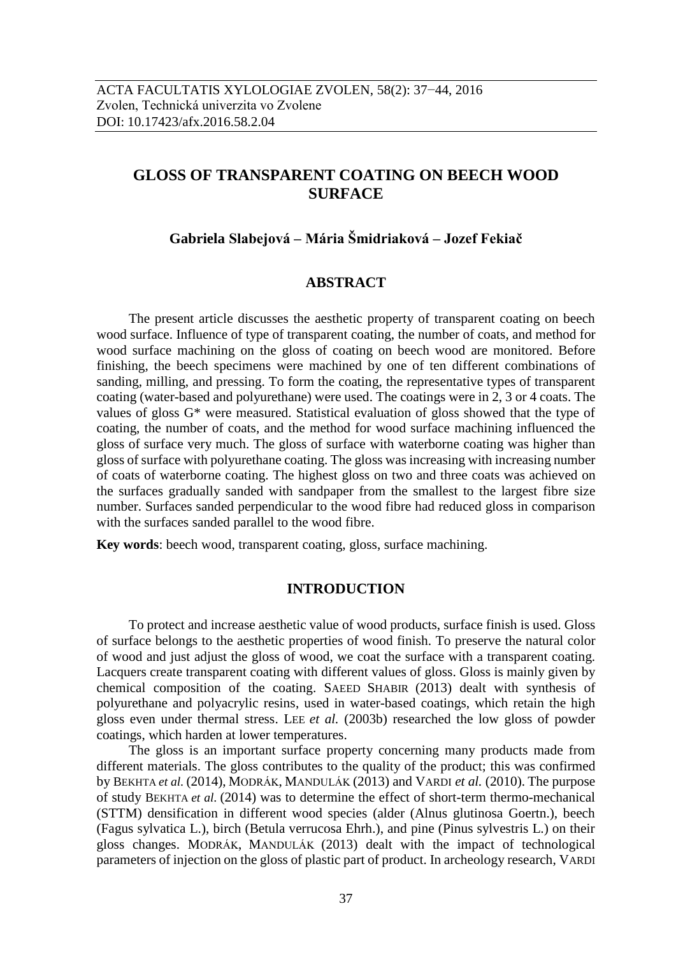# **GLOSS OF TRANSPARENT COATING ON BEECH WOOD SURFACE**

# **Gabriela Slabejová – Mária Šmidriaková – Jozef Fekiač**

# **ABSTRACT**

The present article discusses the aesthetic property of transparent coating on beech wood surface. Influence of type of transparent coating, the number of coats, and method for wood surface machining on the gloss of coating on beech wood are monitored. Before finishing, the beech specimens were machined by one of ten different combinations of sanding, milling, and pressing. To form the coating, the representative types of transparent coating (water-based and polyurethane) were used. The coatings were in 2, 3 or 4 coats. The values of gloss G\* were measured. Statistical evaluation of gloss showed that the type of coating, the number of coats, and the method for wood surface machining influenced the gloss of surface very much. The gloss of surface with waterborne coating was higher than gloss of surface with polyurethane coating. The gloss was increasing with increasing number of coats of waterborne coating. The highest gloss on two and three coats was achieved on the surfaces gradually sanded with sandpaper from the smallest to the largest fibre size number. Surfaces sanded perpendicular to the wood fibre had reduced gloss in comparison with the surfaces sanded parallel to the wood fibre.

**Key words**: beech wood, transparent coating, gloss, surface machining.

# **INTRODUCTION**

To protect and increase aesthetic value of wood products, surface finish is used. Gloss of surface belongs to the aesthetic properties of wood finish. To preserve the natural color of wood and just adjust the gloss of wood, we coat the surface with a transparent coating. Lacquers create transparent coating with different values of gloss. Gloss is mainly given by chemical composition of the coating. SAEED SHABIR (2013) dealt with synthesis of polyurethane and polyacrylic resins, used in water-based coatings, which retain the high gloss even under thermal stress. LEE *et al.* (2003b) researched the low gloss of powder coatings, which harden at lower temperatures.

The gloss is an important surface property concerning many products made from different materials. The gloss contributes to the quality of the product; this was confirmed by BEKHTA *et al.* (2014), MODRÁK, MANDULÁK (2013) and VARDI *et al.* (2010). The purpose of study BEKHTA *et al.* (2014) was to determine the effect of short-term thermo-mechanical (STTM) densification in different wood species (alder (Alnus glutinosa Goertn.), beech (Fagus sylvatica L.), birch (Betula verrucosa Ehrh.), and pine (Pinus sylvestris L.) on their gloss changes. MODRÁK, MANDULÁK (2013) dealt with the impact of technological parameters of injection on the gloss of plastic part of product. In archeology research, VARDI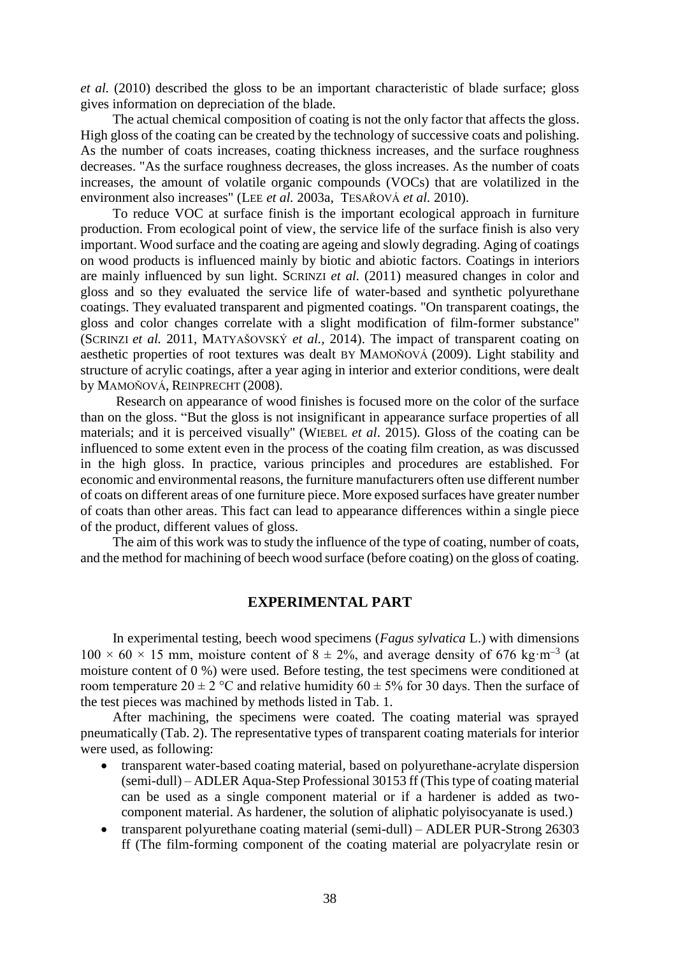*et al.* (2010) described the gloss to be an important characteristic of blade surface; gloss gives information on depreciation of the blade.

The actual chemical composition of coating is not the only factor that affects the gloss. High gloss of the coating can be created by the technology of successive coats and polishing. As the number of coats increases, coating thickness increases, and the surface roughness decreases. "As the surface roughness decreases, the gloss increases. As the number of coats increases, the amount of volatile organic compounds (VOCs) that are volatilized in the environment also increases" (LEE *et al.* 2003a, TESAŘOVÁ *et al.* 2010).

To reduce VOC at surface finish is the important ecological approach in furniture production. From ecological point of view, the service life of the surface finish is also very important. Wood surface and the coating are ageing and slowly degrading. Aging of coatings on wood products is influenced mainly by biotic and abiotic factors. Coatings in interiors are mainly influenced by sun light. SCRINZI *et al.* (2011) measured changes in color and gloss and so they evaluated the service life of water-based and synthetic polyurethane coatings. They evaluated transparent and pigmented coatings. "On transparent coatings, the gloss and color changes correlate with a slight modification of film-former substance" (SCRINZI *et al.* 2011, MATYAŠOVSKÝ *et al.,* 2014). The impact of transparent coating on aesthetic properties of root textures was dealt BY MAMOŇOVÁ (2009). Light stability and structure of acrylic coatings, after a year aging in interior and exterior conditions, were dealt by MAMOŇOVÁ, REINPRECHT (2008).

Research on appearance of wood finishes is focused more on the color of the surface than on the gloss. "But the gloss is not insignificant in appearance surface properties of all materials; and it is perceived visually" (WIEBEL *et al*. 2015). Gloss of the coating can be influenced to some extent even in the process of the coating film creation, as was discussed in the high gloss. In practice, various principles and procedures are established. For economic and environmental reasons, the furniture manufacturers often use different number of coats on different areas of one furniture piece. More exposed surfaces have greater number of coats than other areas. This fact can lead to appearance differences within a single piece of the product, different values of gloss.

The aim of this work was to study the influence of the type of coating, number of coats, and the method for machining of beech wood surface (before coating) on the gloss of coating.

# **EXPERIMENTAL PART**

In experimental testing, beech wood specimens (*Fagus sylvatica* L.) with dimensions  $100 \times 60 \times 15$  mm, moisture content of  $8 \pm 2\%$ , and average density of 676 kg·m<sup>-3</sup> (at moisture content of 0 %) were used. Before testing, the test specimens were conditioned at room temperature  $20 \pm 2$  °C and relative humidity  $60 \pm 5$ % for 30 days. Then the surface of the test pieces was machined by methods listed in Tab. 1.

After machining, the specimens were coated. The coating material was sprayed pneumatically (Tab. 2). The representative types of transparent coating materials for interior were used, as following:

- transparent water-based coating material, based on polyurethane-acrylate dispersion (semi-dull) – ADLER Aqua-Step Professional 30153 ff (This type of coating material can be used as a single component material or if a hardener is added as twocomponent material. As hardener, the solution of aliphatic polyisocyanate is used.)
- transparent polyurethane coating material (semi-dull) ADLER PUR-Strong 26303 ff (The film-forming component of the coating material are polyacrylate resin or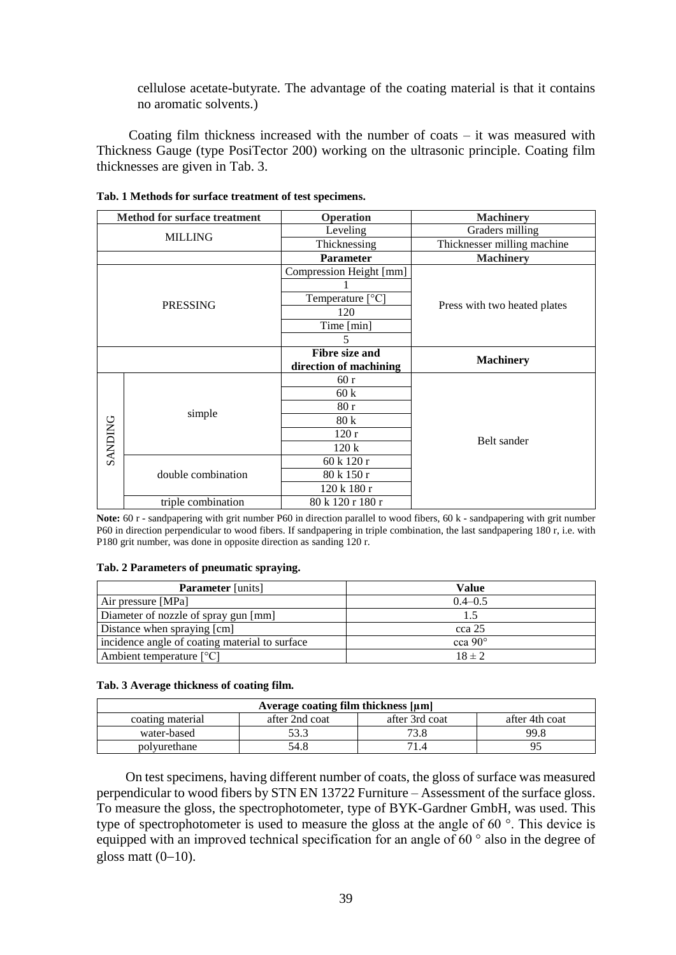cellulose acetate-butyrate. The advantage of the coating material is that it contains no aromatic solvents.)

Coating film thickness increased with the number of coats – it was measured with Thickness Gauge (type PosiTector 200) working on the ultrasonic principle. Coating film thicknesses are given in Tab. 3.

| <b>Method for surface treatment</b> |                    | <b>Operation</b>          | <b>Machinery</b>             |  |
|-------------------------------------|--------------------|---------------------------|------------------------------|--|
| <b>MILLING</b>                      |                    | Leveling                  | Graders milling              |  |
|                                     |                    | Thicknessing              | Thicknesser milling machine  |  |
|                                     |                    | <b>Parameter</b>          | <b>Machinery</b>             |  |
| <b>PRESSING</b>                     |                    | Compression Height [mm]   |                              |  |
|                                     |                    |                           |                              |  |
|                                     |                    | Temperature $[^{\circ}C]$ |                              |  |
|                                     |                    | 120                       | Press with two heated plates |  |
|                                     |                    | Time [min]                |                              |  |
|                                     |                    | 5                         |                              |  |
|                                     |                    | <b>Fibre size and</b>     |                              |  |
|                                     |                    | direction of machining    | <b>Machinery</b>             |  |
|                                     | simple             | 60r                       |                              |  |
|                                     |                    | 60k                       | Belt sander                  |  |
| <b>SANDING</b>                      |                    | 80r                       |                              |  |
|                                     |                    | 80k                       |                              |  |
|                                     |                    | 120r                      |                              |  |
|                                     |                    | 120k                      |                              |  |
|                                     | double combination | 60 k 120 r                |                              |  |
|                                     |                    | 80 k 150 r                |                              |  |
|                                     |                    | 120 k 180 r               |                              |  |
|                                     | triple combination | 80 k 120 r 180 r          |                              |  |

#### **Tab. 1 Methods for surface treatment of test specimens.**

**Note:** 60 r - sandpapering with grit number P60 in direction parallel to wood fibers, 60 k - sandpapering with grit number P60 in direction perpendicular to wood fibers. If sandpapering in triple combination, the last sandpapering 180 r, i.e. with P180 grit number, was done in opposite direction as sanding 120 r.

#### **Tab. 2 Parameters of pneumatic spraying.**

| <b>Parameter</b> [units]                       | Value          |  |  |
|------------------------------------------------|----------------|--|--|
| Air pressure [MPa]                             | $0.4 - 0.5$    |  |  |
| Diameter of nozzle of spray gun [mm]           |                |  |  |
| Distance when spraying [cm]                    | cca 25         |  |  |
| incidence angle of coating material to surface | cca $90^\circ$ |  |  |
| Ambient temperature $[°C]$                     | $18 \pm 2$     |  |  |

#### **Tab. 3 Average thickness of coating film.**

| Average coating film thickness [µm] |                |                |                |  |  |  |  |  |  |
|-------------------------------------|----------------|----------------|----------------|--|--|--|--|--|--|
| coating material                    | after 2nd coat | after 3rd coat | after 4th coat |  |  |  |  |  |  |
| water-based                         |                | 73.8           | 99.8           |  |  |  |  |  |  |
| polyurethane                        | 54.8           |                |                |  |  |  |  |  |  |

On test specimens, having different number of coats, the gloss of surface was measured perpendicular to wood fibers by STN EN 13722 Furniture – Assessment of the surface gloss. To measure the gloss, the spectrophotometer, type of BYK-Gardner GmbH, was used. This type of spectrophotometer is used to measure the gloss at the angle of 60 °. This device is equipped with an improved technical specification for an angle of  $60^\circ$  also in the degree of gloss matt  $(0-10)$ .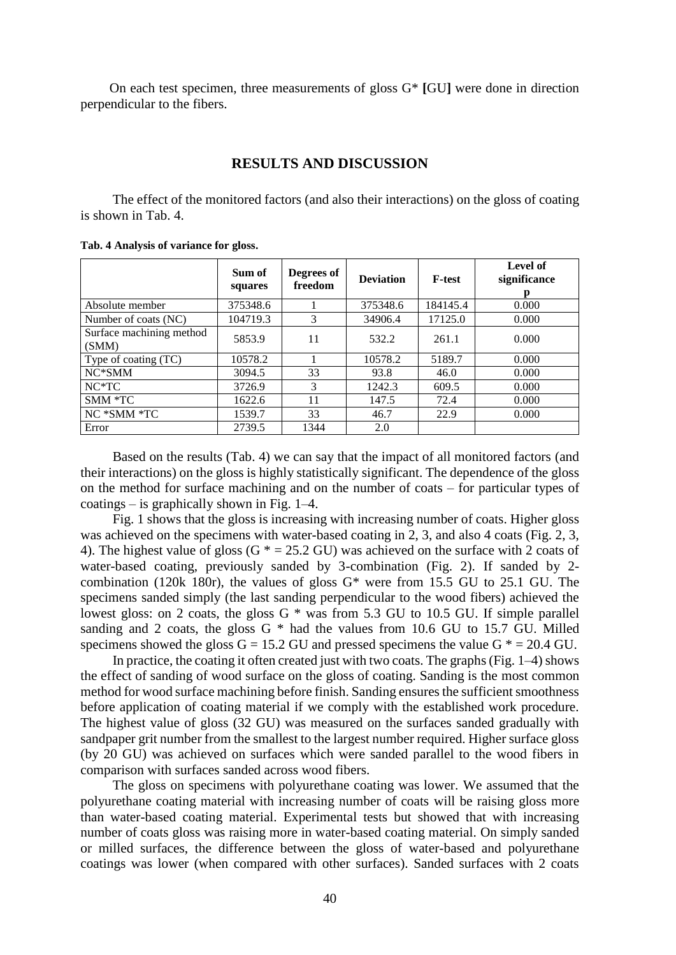On each test specimen, three measurements of gloss G\* **[**GU**]** were done in direction perpendicular to the fibers.

# **RESULTS AND DISCUSSION**

The effect of the monitored factors (and also their interactions) on the gloss of coating is shown in Tab. 4.

|                                   | Sum of<br>squares | Degrees of<br>freedom | <b>Deviation</b> | <b>F-test</b> | Level of<br>significance |
|-----------------------------------|-------------------|-----------------------|------------------|---------------|--------------------------|
| Absolute member                   | 375348.6          |                       | 375348.6         | 184145.4      | 0.000                    |
| Number of coats (NC)              | 104719.3          | 3                     | 34906.4          | 17125.0       | 0.000                    |
| Surface machining method<br>(SMM) | 5853.9            | 11                    | 532.2            | 261.1         | 0.000                    |
| Type of coating (TC)              | 10578.2           |                       | 10578.2          | 5189.7        | 0.000                    |
| NC*SMM                            | 3094.5            | 33                    | 93.8             | 46.0          | 0.000                    |
| $NC*TC$                           | 3726.9            | $\mathcal{F}$         | 1242.3           | 609.5         | 0.000                    |
| SMM *TC                           | 1622.6            | 11                    | 147.5            | 72.4          | 0.000                    |
| NC *SMM *TC                       | 1539.7            | 33                    | 46.7             | 22.9          | 0.000                    |
| Error                             | 2739.5            | 1344                  | 2.0              |               |                          |

**Tab. 4 Analysis of variance for gloss.**

Based on the results (Tab. 4) we can say that the impact of all monitored factors (and their interactions) on the gloss is highly statistically significant. The dependence of the gloss on the method for surface machining and on the number of coats – for particular types of coatings – is graphically shown in Fig. 1–4.

Fig. 1 shows that the gloss is increasing with increasing number of coats. Higher gloss was achieved on the specimens with water-based coating in 2, 3, and also 4 coats (Fig. 2, 3, 4). The highest value of gloss (G  $* = 25.2$  GU) was achieved on the surface with 2 coats of water-based coating, previously sanded by 3-combination (Fig. 2). If sanded by 2 combination (120k 180r), the values of gloss  $G^*$  were from 15.5 GU to 25.1 GU. The specimens sanded simply (the last sanding perpendicular to the wood fibers) achieved the lowest gloss: on 2 coats, the gloss  $G^*$  was from 5.3 GU to 10.5 GU. If simple parallel sanding and 2 coats, the gloss  $G^*$  had the values from 10.6 GU to 15.7 GU. Milled specimens showed the gloss  $G = 15.2$  GU and pressed specimens the value  $G^* = 20.4$  GU.

In practice, the coating it often created just with two coats. The graphs(Fig. 1–4) shows the effect of sanding of wood surface on the gloss of coating. Sanding is the most common method for wood surface machining before finish. Sanding ensures the sufficient smoothness before application of coating material if we comply with the established work procedure. The highest value of gloss (32 GU) was measured on the surfaces sanded gradually with sandpaper grit number from the smallest to the largest number required. Higher surface gloss (by 20 GU) was achieved on surfaces which were sanded parallel to the wood fibers in comparison with surfaces sanded across wood fibers.

The gloss on specimens with polyurethane coating was lower. We assumed that the polyurethane coating material with increasing number of coats will be raising gloss more than water-based coating material. Experimental tests but showed that with increasing number of coats gloss was raising more in water-based coating material. On simply sanded or milled surfaces, the difference between the gloss of water-based and polyurethane coatings was lower (when compared with other surfaces). Sanded surfaces with 2 coats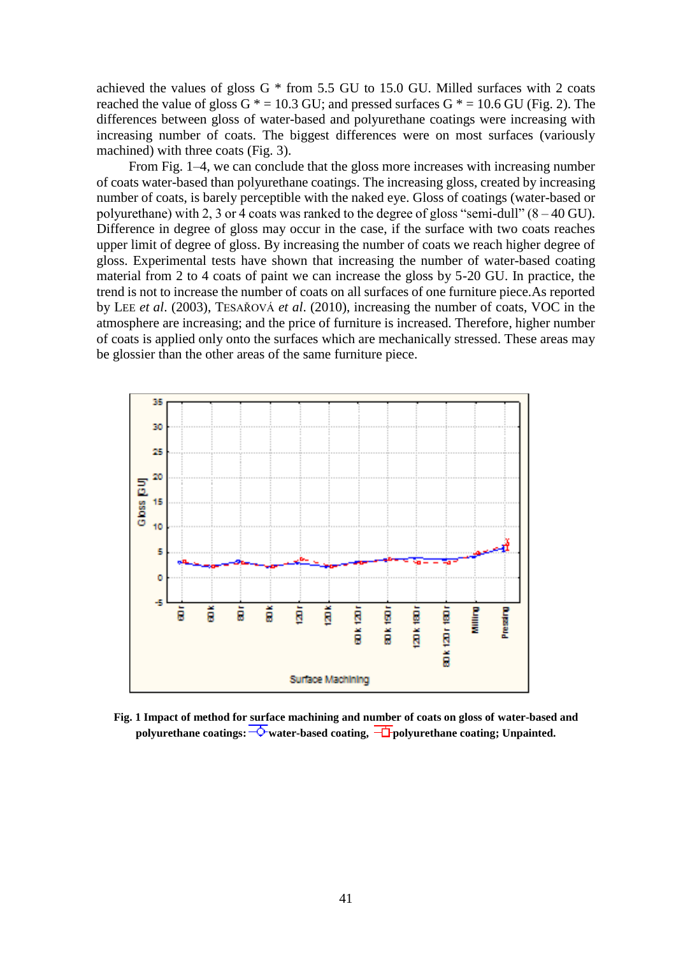achieved the values of gloss  $G * from 5.5$  GU to 15.0 GU. Milled surfaces with 2 coats reached the value of gloss  $G^* = 10.3$  GU; and pressed surfaces  $G^* = 10.6$  GU (Fig. 2). The differences between gloss of water-based and polyurethane coatings were increasing with increasing number of coats. The biggest differences were on most surfaces (variously machined) with three coats (Fig. 3).

From Fig. 1–4, we can conclude that the gloss more increases with increasing number of coats water-based than polyurethane coatings. The increasing gloss, created by increasing number of coats, is barely perceptible with the naked eye. Gloss of coatings (water-based or polyurethane) with 2, 3 or 4 coats was ranked to the degree of gloss "semi-dull"  $(8-40 \text{ GU})$ . Difference in degree of gloss may occur in the case, if the surface with two coats reaches upper limit of degree of gloss. By increasing the number of coats we reach higher degree of gloss. Experimental tests have shown that increasing the number of water-based coating material from 2 to 4 coats of paint we can increase the gloss by 5-20 GU. In practice, the trend is not to increase the number of coats on all surfaces of one furniture piece.As reported by LEE *et al*. (2003), TESAŘOVÁ *et al*. (2010), increasing the number of coats, VOC in the atmosphere are increasing; and the price of furniture is increased. Therefore, higher number of coats is applied only onto the surfaces which are mechanically stressed. These areas may be glossier than the other areas of the same furniture piece.



**Fig. 1 Impact of method for surface machining and number of coats on gloss of water-based and polyurethane coatings:**  $\overrightarrow{\mathbf{Q}}$  **water-based coating**,  $\overrightarrow{\mathbf{Q}}$  **polyurethane coating**; **Unpainted.**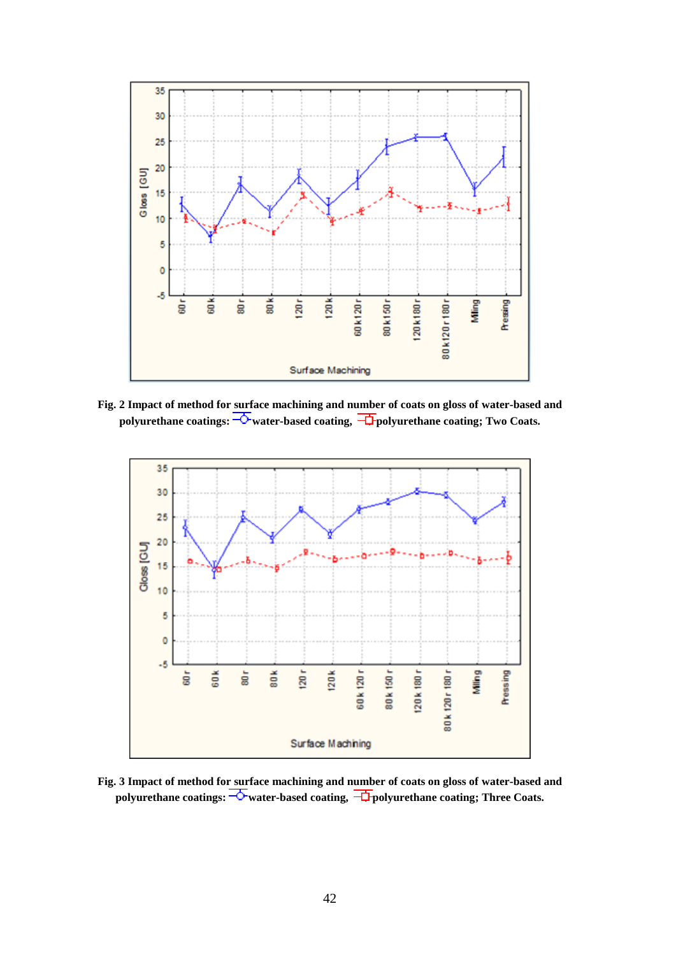

**Fig. 2 Impact of method for surface machining and number of coats on gloss of water-based and polyurethane coatings:**  $\overline{\text{C}}$  water-based coating,  $\overline{\text{D}}$  polyurethane coating; Two Coats.



**Fig. 3 Impact of method for surface machining and number of coats on gloss of water-based and**  polyurethane coatings:  $\overline{\text{ab}}$  water-based coating,  $\overline{\text{ab}}$  polyurethane coating; Three Coats.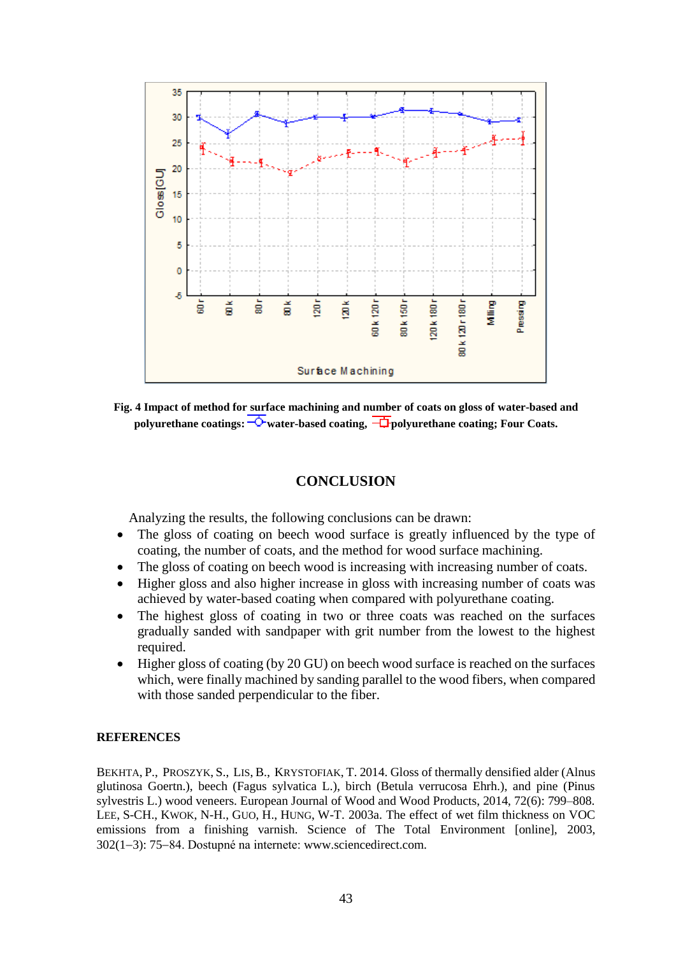

**Fig. 4 Impact of method for surface machining and number of coats on gloss of water-based and polyurethane coatings:**  $\overline{\text{ }^{\bullet}}$  water-based coating,  $\overline{\text{ }^{\bullet}}$  polyurethane coating; Four Coats.

# **CONCLUSION**

Analyzing the results, the following conclusions can be drawn:

- The gloss of coating on beech wood surface is greatly influenced by the type of coating, the number of coats, and the method for wood surface machining.
- The gloss of coating on beech wood is increasing with increasing number of coats.
- Higher gloss and also higher increase in gloss with increasing number of coats was achieved by water-based coating when compared with polyurethane coating.
- The highest gloss of coating in two or three coats was reached on the surfaces gradually sanded with sandpaper with grit number from the lowest to the highest required.
- Higher gloss of coating (by 20 GU) on beech wood surface is reached on the surfaces which, were finally machined by sanding parallel to the wood fibers, when compared with those sanded perpendicular to the fiber.

# **REFERENCES**

BEKHTA, P., PROSZYK, S., LIS, B., KRYSTOFIAK, T. 2014. Gloss of thermally densified alder (Alnus glutinosa Goertn.), beech (Fagus sylvatica L.), birch (Betula verrucosa Ehrh.), and pine (Pinus sylvestris L.) wood veneers. European Journal of Wood and Wood Products, 2014, 72(6): 799–808. LEE, S-CH., KWOK, N-H., GUO, H., HUNG, W-T. 2003a. The effect of wet film thickness on VOC emissions from a finishing varnish. Science of The Total Environment [online], 2003, 302(1–3): 75–84. Dostupné na internete: [www.sciencedirect.com.](http://www.sciencedirect.com/)